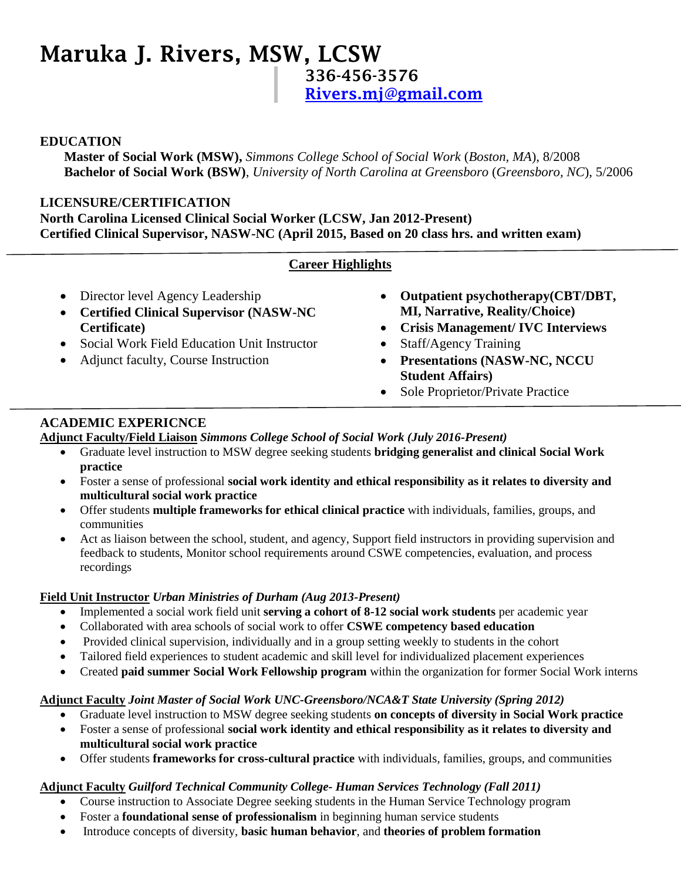# **Maruka J. Rivers, MSW, LCSW 336-456-3576 [Rivers.mj@gmail.com](mailto:Rivers.mj@gmail.com)**

## **EDUCATION**

**Master of Social Work (MSW),** *Simmons College School of Social Work* (*Boston, MA*), 8/2008 **Bachelor of Social Work (BSW)**, *University of North Carolina at Greensboro* (*Greensboro, NC*), 5/2006

#### **LICENSURE/CERTIFICATION North Carolina Licensed Clinical Social Worker (LCSW, Jan 2012-Present) Certified Clinical Supervisor, NASW-NC (April 2015, Based on 20 class hrs. and written exam)**

## **Career Highlights**

- Director level Agency Leadership
- **Certified Clinical Supervisor (NASW-NC Certificate)**
- Social Work Field Education Unit Instructor
- Adjunct faculty, Course Instruction
- **Outpatient psychotherapy(CBT/DBT, MI, Narrative, Reality/Choice)**
- **Crisis Management/ IVC Interviews**
- Staff/Agency Training
- **Presentations (NASW-NC, NCCU Student Affairs)**
- Sole Proprietor/Private Practice

# **ACADEMIC EXPERICNCE**

**Adjunct Faculty/Field Liaison** *Simmons College School of Social Work (July 2016-Present)*

- Graduate level instruction to MSW degree seeking students **bridging generalist and clinical Social Work practice**
- Foster a sense of professional **social work identity and ethical responsibility as it relates to diversity and multicultural social work practice**
- Offer students **multiple frameworks for ethical clinical practice** with individuals, families, groups, and communities
- Act as liaison between the school, student, and agency, Support field instructors in providing supervision and feedback to students, Monitor school requirements around CSWE competencies, evaluation, and process recordings

### **Field Unit Instructor** *Urban Ministries of Durham (Aug 2013-Present)*

- Implemented a social work field unit **serving a cohort of 8-12 social work students** per academic year
- Collaborated with area schools of social work to offer **CSWE competency based education**
- Provided clinical supervision, individually and in a group setting weekly to students in the cohort
- Tailored field experiences to student academic and skill level for individualized placement experiences
- Created **paid summer Social Work Fellowship program** within the organization for former Social Work interns

### **Adjunct Faculty** *Joint Master of Social Work UNC-Greensboro/NCA&T State University (Spring 2012)*

- Graduate level instruction to MSW degree seeking students **on concepts of diversity in Social Work practice**
- Foster a sense of professional **social work identity and ethical responsibility as it relates to diversity and multicultural social work practice**
- Offer students **frameworks for cross-cultural practice** with individuals, families, groups, and communities

## **Adjunct Faculty** *Guilford Technical Community College- Human Services Technology (Fall 2011)*

- Course instruction to Associate Degree seeking students in the Human Service Technology program
- Foster a **foundational sense of professionalism** in beginning human service students
- Introduce concepts of diversity, **basic human behavior**, and **theories of problem formation**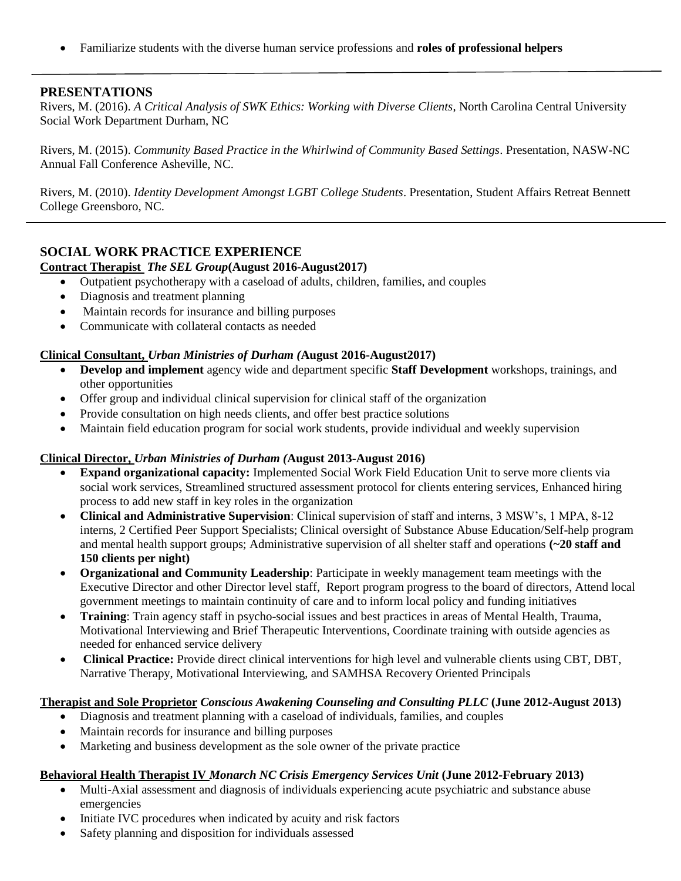Familiarize students with the diverse human service professions and **roles of professional helpers**

### **PRESENTATIONS**

Rivers, M. (2016). *A Critical Analysis of SWK Ethics: Working with Diverse Clients*, North Carolina Central University Social Work Department Durham, NC

Rivers, M. (2015). *Community Based Practice in the Whirlwind of Community Based Settings*. Presentation, NASW-NC Annual Fall Conference Asheville, NC.

Rivers, M. (2010). *Identity Development Amongst LGBT College Students*. Presentation, Student Affairs Retreat Bennett College Greensboro, NC.

## **SOCIAL WORK PRACTICE EXPERIENCE**

#### **Contract Therapist** *The SEL Group***(August 2016-August2017)**

- Outpatient psychotherapy with a caseload of adults, children, families, and couples
- Diagnosis and treatment planning
- Maintain records for insurance and billing purposes
- Communicate with collateral contacts as needed

#### **Clinical Consultant,** *Urban Ministries of Durham (***August 2016-August2017)**

- **Develop and implement** agency wide and department specific **Staff Development** workshops, trainings, and other opportunities
- Offer group and individual clinical supervision for clinical staff of the organization
- Provide consultation on high needs clients, and offer best practice solutions
- Maintain field education program for social work students, provide individual and weekly supervision

#### **Clinical Director,** *Urban Ministries of Durham (***August 2013-August 2016)**

- **Expand organizational capacity:** Implemented Social Work Field Education Unit to serve more clients via social work services, Streamlined structured assessment protocol for clients entering services, Enhanced hiring process to add new staff in key roles in the organization
- **Clinical and Administrative Supervision**: Clinical supervision of staff and interns, 3 MSW's, 1 MPA, 8-12 interns, 2 Certified Peer Support Specialists; Clinical oversight of Substance Abuse Education/Self-help program and mental health support groups; Administrative supervision of all shelter staff and operations **(~20 staff and 150 clients per night)**
- **Organizational and Community Leadership**: Participate in weekly management team meetings with the Executive Director and other Director level staff, Report program progress to the board of directors, Attend local government meetings to maintain continuity of care and to inform local policy and funding initiatives
- **Training**: Train agency staff in psycho-social issues and best practices in areas of Mental Health, Trauma, Motivational Interviewing and Brief Therapeutic Interventions, Coordinate training with outside agencies as needed for enhanced service delivery
- **Clinical Practice:** Provide direct clinical interventions for high level and vulnerable clients using CBT, DBT, Narrative Therapy, Motivational Interviewing, and SAMHSA Recovery Oriented Principals

#### **Therapist and Sole Proprietor** *Conscious Awakening Counseling and Consulting PLLC* **(June 2012-August 2013)**

- Diagnosis and treatment planning with a caseload of individuals, families, and couples
- Maintain records for insurance and billing purposes
- Marketing and business development as the sole owner of the private practice

#### **Behavioral Health Therapist IV** *Monarch NC Crisis Emergency Services Unit* **(June 2012-February 2013)**

- Multi-Axial assessment and diagnosis of individuals experiencing acute psychiatric and substance abuse emergencies
- Initiate IVC procedures when indicated by acuity and risk factors
- Safety planning and disposition for individuals assessed